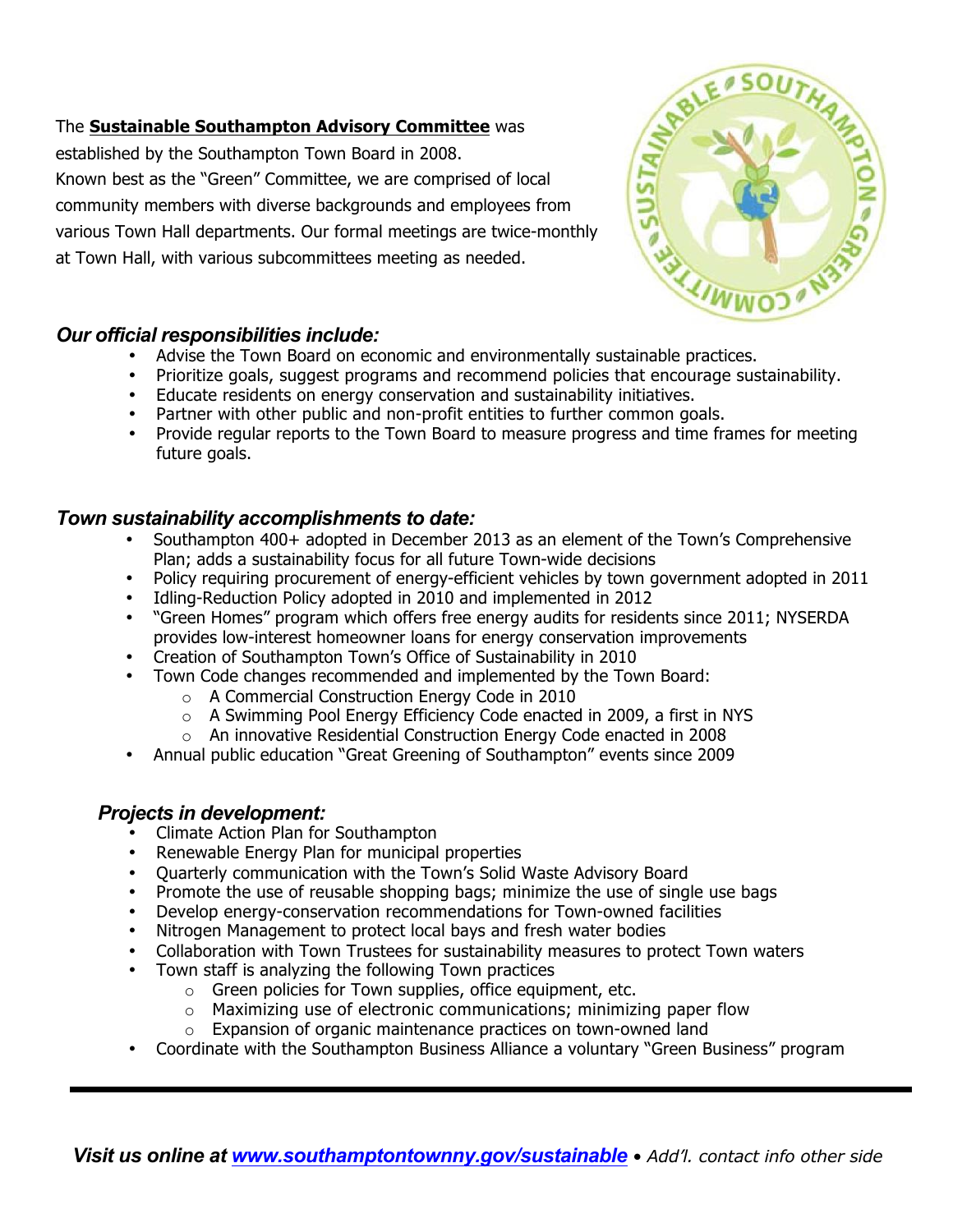### *Visit us online at www.southamptontownny.gov/sustainable • Add'l. contact info other side*

#### The **Sustainable Southampton Advisory Committee** was

established by the Southampton Town Board in 2008. Known best as the "Green" Committee, we are comprised of local community members with diverse backgrounds and employees from various Town Hall departments. Our formal meetings are twice-monthly at Town Hall, with various subcommittees meeting as needed.

#### *Our official responsibilities include:*

- Advise the Town Board on economic and environmentally sustainable practices.
- Prioritize goals, suggest programs and recommend policies that encourage sustainability.
- Educate residents on energy conservation and sustainability initiatives.
- Partner with other public and non-profit entities to further common goals.
- Provide regular reports to the Town Board to measure progress and time frames for meeting future goals.

## *Town sustainability accomplishments to date:*

- Southampton 400+ adopted in December 2013 as an element of the Town's Comprehensive Plan; adds a sustainability focus for all future Town-wide decisions
- Policy requiring procurement of energy-efficient vehicles by town government adopted in 2011
- Idling-Reduction Policy adopted in 2010 and implemented in 2012
- "Green Homes" program which offers free energy audits for residents since 2011; NYSERDA provides low-interest homeowner loans for energy conservation improvements
- Creation of Southampton Town's Office of Sustainability in 2010
- Town Code changes recommended and implemented by the Town Board:
	- o A Commercial Construction Energy Code in 2010
	- o A Swimming Pool Energy Efficiency Code enacted in 2009, a first in NYS
	- o An innovative Residential Construction Energy Code enacted in 2008
- Annual public education "Great Greening of Southampton" events since 2009

## *Projects in development:*

- Climate Action Plan for Southampton
- Renewable Energy Plan for municipal properties
- Quarterly communication with the Town's Solid Waste Advisory Board
- Promote the use of reusable shopping bags; minimize the use of single use bags
- Develop energy-conservation recommendations for Town-owned facilities
- Nitrogen Management to protect local bays and fresh water bodies
- Collaboration with Town Trustees for sustainability measures to protect Town waters
- Town staff is analyzing the following Town practices
	- $\circ$  Green policies for Town supplies, office equipment, etc.
	- o Maximizing use of electronic communications; minimizing paper flow
	- o Expansion of organic maintenance practices on town-owned land
- Coordinate with the Southampton Business Alliance a voluntary "Green Business" program